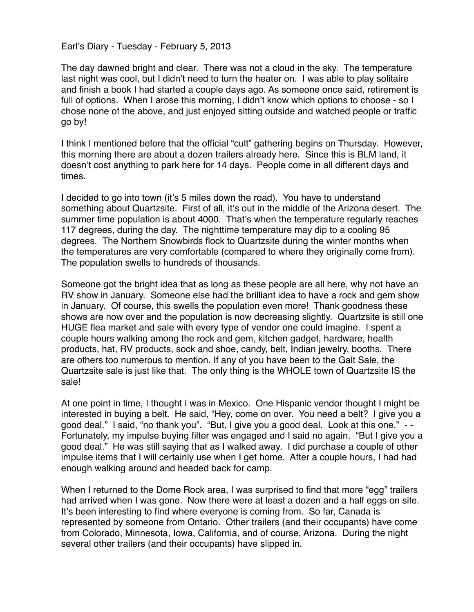Earl's Diary - Tuesday - February 5, 2013

The day dawned bright and clear. There was not a cloud in the sky. The temperature last night was cool, but I didn't need to turn the heater on. I was able to play solitaire and finish a book I had started a couple days ago. As someone once said, retirement is full of options. When I arose this morning, I didn't know which options to choose - so I chose none of the above, and just enjoyed sitting outside and watched people or traffic go by!

I think I mentioned before that the official "cult" gathering begins on Thursday. However, this morning there are about a dozen trailers already here. Since this is BLM land, it doesn't cost anything to park here for 14 days. People come in all different days and times.

I decided to go into town (it's 5 miles down the road). You have to understand something about Quartzsite. First of all, it's out in the middle of the Arizona desert. The summer time population is about 4000. That's when the temperature regularly reaches 117 degrees, during the day. The nighttime temperature may dip to a cooling 95 degrees. The Northern Snowbirds flock to Quartzsite during the winter months when the temperatures are very comfortable (compared to where they originally come from). The population swells to hundreds of thousands.

Someone got the bright idea that as long as these people are all here, why not have an RV show in January. Someone else had the brilliant idea to have a rock and gem show in January. Of course, this swells the population even more! Thank goodness these shows are now over and the population is now decreasing slightly. Quartzsite is still one HUGE flea market and sale with every type of vendor one could imagine. I spent a couple hours walking among the rock and gem, kitchen gadget, hardware, health products, hat, RV products, sock and shoe, candy, belt, Indian jewelry, booths. There are others too numerous to mention. If any of you have been to the Galt Sale, the Quartzsite sale is just like that. The only thing is the WHOLE town of Quartzsite IS the sale!

At one point in time, I thought I was in Mexico. One Hispanic vendor thought I might be interested in buying a belt. He said, "Hey, come on over. You need a belt? I give you a good deal." I said, "no thank you". "But, I give you a good deal. Look at this one." - - Fortunately, my impulse buying filter was engaged and I said no again. "But I give you a good deal." He was still saying that as I walked away. I did purchase a couple of other impulse items that I will certainly use when I get home. After a couple hours, I had had enough walking around and headed back for camp.

When I returned to the Dome Rock area, I was surprised to find that more "egg" trailers had arrived when I was gone. Now there were at least a dozen and a half eggs on site. It's been interesting to find where everyone is coming from. So far, Canada is represented by someone from Ontario. Other trailers (and their occupants) have come from Colorado, Minnesota, Iowa, California, and of course, Arizona. During the night several other trailers (and their occupants) have slipped in.